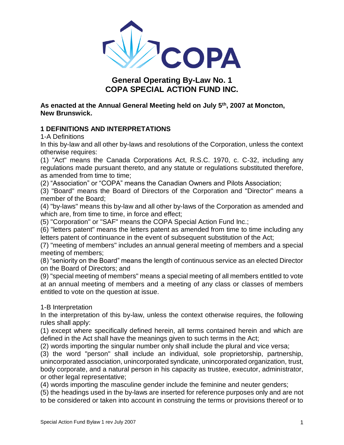

# **General Operating By-Law No. 1 COPA SPECIAL ACTION FUND INC.**

**As enacted at the Annual General Meeting held on July 5th, 2007 at Moncton, New Brunswick.** 

## **1 DEFINITIONS AND INTERPRETATIONS**

1-A Definitions

In this by-law and all other by-laws and resolutions of the Corporation, unless the context otherwise requires:

(1) "Act" means the Canada Corporations Act, R.S.C. 1970, c. C-32, including any regulations made pursuant thereto, and any statute or regulations substituted therefore, as amended from time to time;

(2) "Association" or "COPA" means the Canadian Owners and Pilots Association;

(3) "Board" means the Board of Directors of the Corporation and "Director" means a member of the Board;

(4) "by-laws" means this by-law and all other by-laws of the Corporation as amended and which are, from time to time, in force and effect;

(5) "Corporation" or "SAF" means the COPA Special Action Fund Inc.;

(6) "letters patent" means the letters patent as amended from time to time including any letters patent of continuance in the event of subsequent substitution of the Act;

(7) "meeting of members" includes an annual general meeting of members and a special meeting of members;

(8) "seniority on the Board" means the length of continuous service as an elected Director on the Board of Directors; and

(9) "special meeting of members" means a special meeting of all members entitled to vote at an annual meeting of members and a meeting of any class or classes of members entitled to vote on the question at issue.

### 1-B Interpretation

In the interpretation of this by-law, unless the context otherwise requires, the following rules shall apply:

(1) except where specifically defined herein, all terms contained herein and which are defined in the Act shall have the meanings given to such terms in the Act;

(2) words importing the singular number only shall include the plural and vice versa;

(3) the word "person" shall include an individual, sole proprietorship, partnership, unincorporated association, unincorporated syndicate, unincorporated organization, trust, body corporate, and a natural person in his capacity as trustee, executor, administrator, or other legal representative;

(4) words importing the masculine gender include the feminine and neuter genders;

(5) the headings used in the by-laws are inserted for reference purposes only and are not to be considered or taken into account in construing the terms or provisions thereof or to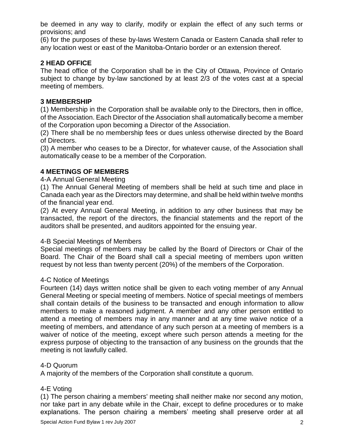be deemed in any way to clarify, modify or explain the effect of any such terms or provisions; and

(6) for the purposes of these by-laws Western Canada or Eastern Canada shall refer to any location west or east of the Manitoba-Ontario border or an extension thereof.

## **2 HEAD OFFICE**

The head office of the Corporation shall be in the City of Ottawa, Province of Ontario subject to change by by-law sanctioned by at least 2/3 of the votes cast at a special meeting of members.

### **3 MEMBERSHIP**

(1) Membership in the Corporation shall be available only to the Directors, then in office, of the Association. Each Director of the Association shall automatically become a member of the Corporation upon becoming a Director of the Association.

(2) There shall be no membership fees or dues unless otherwise directed by the Board of Directors.

(3) A member who ceases to be a Director, for whatever cause, of the Association shall automatically cease to be a member of the Corporation.

### **4 MEETINGS OF MEMBERS**

#### 4-A Annual General Meeting

(1) The Annual General Meeting of members shall be held at such time and place in Canada each year as the Directors may determine, and shall be held within twelve months of the financial year end.

(2) At every Annual General Meeting, in addition to any other business that may be transacted, the report of the directors, the financial statements and the report of the auditors shall be presented, and auditors appointed for the ensuing year.

#### 4-B Special Meetings of Members

Special meetings of members may be called by the Board of Directors or Chair of the Board. The Chair of the Board shall call a special meeting of members upon written request by not less than twenty percent (20%) of the members of the Corporation.

### 4-C Notice of Meetings

Fourteen (14) days written notice shall be given to each voting member of any Annual General Meeting or special meeting of members. Notice of special meetings of members shall contain details of the business to be transacted and enough information to allow members to make a reasoned judgment. A member and any other person entitled to attend a meeting of members may in any manner and at any time waive notice of a meeting of members, and attendance of any such person at a meeting of members is a waiver of notice of the meeting, except where such person attends a meeting for the express purpose of objecting to the transaction of any business on the grounds that the meeting is not lawfully called.

#### 4-D Quorum

A majority of the members of the Corporation shall constitute a quorum.

### 4-E Voting

(1) The person chairing a members' meeting shall neither make nor second any motion, nor take part in any debate while in the Chair, except to define procedures or to make explanations. The person chairing a members' meeting shall preserve order at all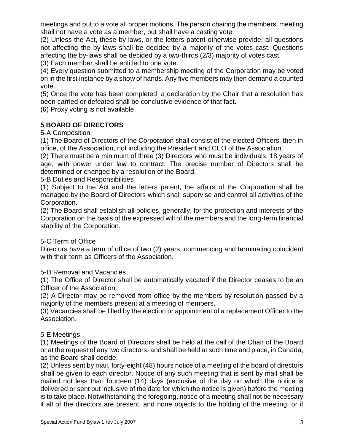meetings and put to a vote all proper motions. The person chairing the members' meeting shall not have a vote as a member, but shall have a casting vote.

(2) Unless the Act, these by-laws, or the letters patent otherwise provide, all questions not affecting the by-laws shall be decided by a majority of the votes cast. Questions affecting the by-laws shall be decided by a two-thirds (2/3) majority of votes cast.

(3) Each member shall be entitled to one vote.

(4) Every question submitted to a membership meeting of the Corporation may be voted on in the first instance by a show of hands. Any five members may then demand a counted vote.

(5) Once the vote has been completed, a declaration by the Chair that a resolution has been carried or defeated shall be conclusive evidence of that fact.

(6) Proxy voting is not available.

## **5 BOARD OF DIRECTORS**

5-A Composition

(1) The Board of Directors of the Corporation shall consist of the elected Officers, then in office, of the Association, not including the President and CEO of the Association.

(2) There must be a minimum of three (3) Directors who must be individuals, 18 years of age, with power under law to contract. The precise number of Directors shall be determined or changed by a resolution of the Board.

5-B Duties and Responsibilities

(1) Subject to the Act and the letters patent, the affairs of the Corporation shall be managed by the Board of Directors which shall supervise and control all activities of the Corporation.

(2) The Board shall establish all policies, generally, for the protection and interests of the Corporation on the basis of the expressed will of the members and the long-term financial stability of the Corporation.

### 5-C Term of Office

Directors have a term of office of two (2) years, commencing and terminating coincident with their term as Officers of the Association.

### 5-D Removal and Vacancies

(1) The Office of Director shall be automatically vacated if the Director ceases to be an Officer of the Association.

(2) A Director may be removed from office by the members by resolution passed by a majority of the members present at a meeting of members.

(3) Vacancies shall be filled by the election or appointment of a replacement Officer to the Association.

## 5-E Meetings

(1) Meetings of the Board of Directors shall be held at the call of the Chair of the Board or at the request of any two directors, and shall be held at such time and place, in Canada, as the Board shall decide.

(2) Unless sent by mail, forty-eight (48) hours notice of a meeting of the board of directors shall be given to each director. Notice of any such meeting that is sent by mail shall be mailed not less than fourteen (14) days (exclusive of the day on which the notice is delivered or sent but inclusive of the date for which the notice is given) before the meeting is to take place. Notwithstanding the foregoing, notice of a meeting shall not be necessary if all of the directors are present, and none objects to the holding of the meeting, or if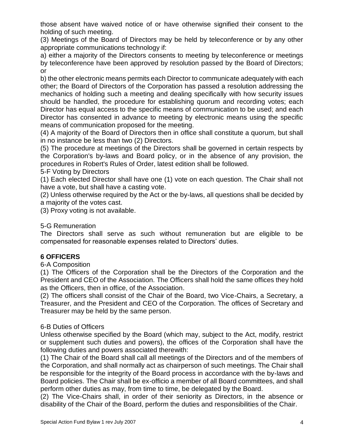those absent have waived notice of or have otherwise signified their consent to the holding of such meeting.

(3) Meetings of the Board of Directors may be held by teleconference or by any other appropriate communications technology if:

a) either a majority of the Directors consents to meeting by teleconference or meetings by teleconference have been approved by resolution passed by the Board of Directors; or

b) the other electronic means permits each Director to communicate adequately with each other; the Board of Directors of the Corporation has passed a resolution addressing the mechanics of holding such a meeting and dealing specifically with how security issues should be handled, the procedure for establishing quorum and recording votes; each Director has equal access to the specific means of communication to be used; and each Director has consented in advance to meeting by electronic means using the specific means of communication proposed for the meeting.

(4) A majority of the Board of Directors then in office shall constitute a quorum, but shall in no instance be less than two (2) Directors.

(5) The procedure at meetings of the Directors shall be governed in certain respects by the Corporation's by-laws and Board policy, or in the absence of any provision, the procedures in Robert's Rules of Order, latest edition shall be followed.

5-F Voting by Directors

(1) Each elected Director shall have one (1) vote on each question. The Chair shall not have a vote, but shall have a casting vote.

(2) Unless otherwise required by the Act or the by-laws, all questions shall be decided by a majority of the votes cast.

(3) Proxy voting is not available.

## 5-G Remuneration

The Directors shall serve as such without remuneration but are eligible to be compensated for reasonable expenses related to Directors' duties.

## **6 OFFICERS**

6-A Composition

(1) The Officers of the Corporation shall be the Directors of the Corporation and the President and CEO of the Association. The Officers shall hold the same offices they hold as the Officers, then in office, of the Association.

(2) The officers shall consist of the Chair of the Board, two Vice-Chairs, a Secretary, a Treasurer, and the President and CEO of the Corporation. The offices of Secretary and Treasurer may be held by the same person.

### 6-B Duties of Officers

Unless otherwise specified by the Board (which may, subject to the Act, modify, restrict or supplement such duties and powers), the offices of the Corporation shall have the following duties and powers associated therewith:

(1) The Chair of the Board shall call all meetings of the Directors and of the members of the Corporation, and shall normally act as chairperson of such meetings. The Chair shall be responsible for the integrity of the Board process in accordance with the by-laws and Board policies. The Chair shall be ex-officio a member of all Board committees, and shall perform other duties as may, from time to time, be delegated by the Board.

(2) The Vice-Chairs shall, in order of their seniority as Directors, in the absence or disability of the Chair of the Board, perform the duties and responsibilities of the Chair.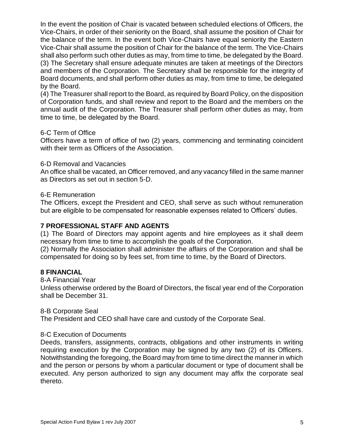In the event the position of Chair is vacated between scheduled elections of Officers, the Vice-Chairs, in order of their seniority on the Board, shall assume the position of Chair for the balance of the term. In the event both Vice-Chairs have equal seniority the Eastern Vice-Chair shall assume the position of Chair for the balance of the term. The Vice-Chairs shall also perform such other duties as may, from time to time, be delegated by the Board. (3) The Secretary shall ensure adequate minutes are taken at meetings of the Directors and members of the Corporation. The Secretary shall be responsible for the integrity of Board documents, and shall perform other duties as may, from time to time, be delegated by the Board.

(4) The Treasurer shall report to the Board, as required by Board Policy, on the disposition of Corporation funds, and shall review and report to the Board and the members on the annual audit of the Corporation. The Treasurer shall perform other duties as may, from time to time, be delegated by the Board.

### 6-C Term of Office

Officers have a term of office of two (2) years, commencing and terminating coincident with their term as Officers of the Association.

#### 6-D Removal and Vacancies

An office shall be vacated, an Officer removed, and any vacancy filled in the same manner as Directors as set out in section 5-D.

#### 6-E Remuneration

The Officers, except the President and CEO, shall serve as such without remuneration but are eligible to be compensated for reasonable expenses related to Officers' duties.

### **7 PROFESSIONAL STAFF AND AGENTS**

(1) The Board of Directors may appoint agents and hire employees as it shall deem necessary from time to time to accomplish the goals of the Corporation.

(2) Normally the Association shall administer the affairs of the Corporation and shall be compensated for doing so by fees set, from time to time, by the Board of Directors.

#### **8 FINANCIAL**

8-A Financial Year

Unless otherwise ordered by the Board of Directors, the fiscal year end of the Corporation shall be December 31.

#### 8-B Corporate Seal

The President and CEO shall have care and custody of the Corporate Seal.

#### 8-C Execution of Documents

Deeds, transfers, assignments, contracts, obligations and other instruments in writing requiring execution by the Corporation may be signed by any two (2) of its Officers. Notwithstanding the foregoing, the Board may from time to time direct the manner in which and the person or persons by whom a particular document or type of document shall be executed. Any person authorized to sign any document may affix the corporate seal thereto.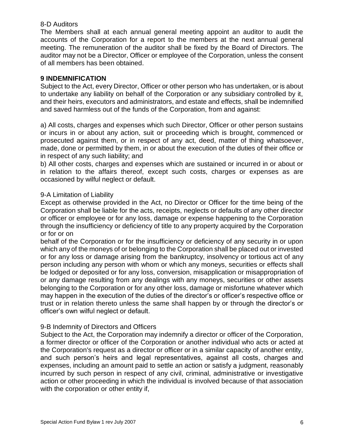#### 8-D Auditors

The Members shall at each annual general meeting appoint an auditor to audit the accounts of the Corporation for a report to the members at the next annual general meeting. The remuneration of the auditor shall be fixed by the Board of Directors. The auditor may not be a Director, Officer or employee of the Corporation, unless the consent of all members has been obtained.

### **9 INDEMNIFICATION**

Subject to the Act, every Director, Officer or other person who has undertaken, or is about to undertake any liability on behalf of the Corporation or any subsidiary controlled by it, and their heirs, executors and administrators, and estate and effects, shall be indemnified and saved harmless out of the funds of the Corporation, from and against:

a) All costs, charges and expenses which such Director, Officer or other person sustains or incurs in or about any action, suit or proceeding which is brought, commenced or prosecuted against them, or in respect of any act, deed, matter of thing whatsoever, made, done or permitted by them, in or about the execution of the duties of their office or in respect of any such liability; and

b) All other costs, charges and expenses which are sustained or incurred in or about or in relation to the affairs thereof, except such costs, charges or expenses as are occasioned by wilful neglect or default.

#### 9-A Limitation of Liability

Except as otherwise provided in the Act, no Director or Officer for the time being of the Corporation shall be liable for the acts, receipts, neglects or defaults of any other director or officer or employee or for any loss, damage or expense happening to the Corporation through the insufficiency or deficiency of title to any property acquired by the Corporation or for or on

behalf of the Corporation or for the insufficiency or deficiency of any security in or upon which any of the moneys of or belonging to the Corporation shall be placed out or invested or for any loss or damage arising from the bankruptcy, insolvency or tortious act of any person including any person with whom or which any moneys, securities or effects shall be lodged or deposited or for any loss, conversion, misapplication or misappropriation of or any damage resulting from any dealings with any moneys, securities or other assets belonging to the Corporation or for any other loss, damage or misfortune whatever which may happen in the execution of the duties of the director's or officer's respective office or trust or in relation thereto unless the same shall happen by or through the director's or officer's own wilful neglect or default.

### 9-B Indemnity of Directors and Officers

Subject to the Act, the Corporation may indemnify a director or officer of the Corporation, a former director or officer of the Corporation or another individual who acts or acted at the Corporation's request as a director or officer or in a similar capacity of another entity, and such person's heirs and legal representatives, against all costs, charges and expenses, including an amount paid to settle an action or satisfy a judgment, reasonably incurred by such person in respect of any civil, criminal, administrative or investigative action or other proceeding in which the individual is involved because of that association with the corporation or other entity if,